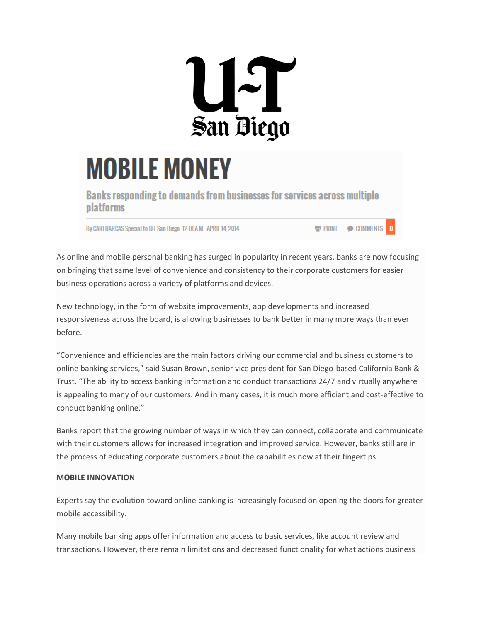

## **MOBILE MONEY**

Banks responding to demands from businesses for services across multiple **platforms** 

By CARI BARCAS Special to U-T San Diego 12:01 A.M. APRIL 14, 2014

**E PRINT © COMMENTS** 

As online and mobile personal banking has surged in popularity in recent years, banks are now focusing on bringing that same level of convenience and consistency to their corporate customers for easier business operations across a variety of platforms and devices.

New technology, in the form of website improvements, app developments and increased responsiveness across the board, is allowing businesses to bank better in many more ways than ever before.

"Convenience and efficiencies are the main factors driving our commercial and business customers to online banking services," said Susan Brown, senior vice president for San Diego-based California Bank & Trust. "The ability to access banking information and conduct transactions 24/7 and virtually anywhere is appealing to many of our customers. And in many cases, it is much more efficient and cost-effective to conduct banking online."

Banks report that the growing number of ways in which they can connect, collaborate and communicate with their customers allows for increased integration and improved service. However, banks still are in the process of educating corporate customers about the capabilities now at their fingertips.

## **MOBILE INNOVATION**

Experts say the evolution toward online banking is increasingly focused on opening the doors for greater mobile accessibility.

Many mobile banking apps offer information and access to basic services, like account review and transactions. However, there remain limitations and decreased functionality for what actions business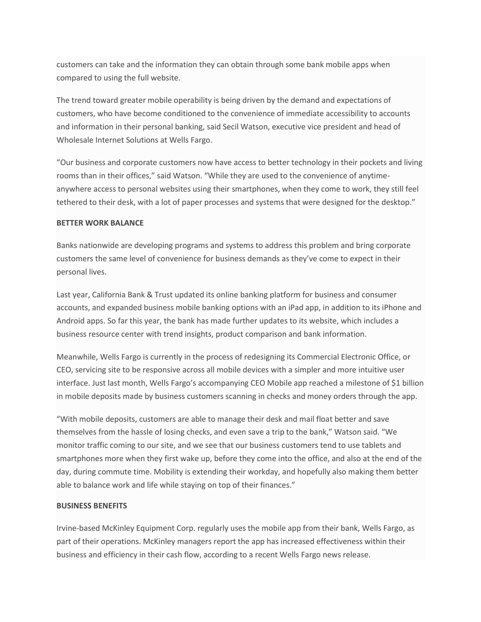customers can take and the information they can obtain through some bank mobile apps when compared to using the full website.

The trend toward greater mobile operability is being driven by the demand and expectations of customers, who have become conditioned to the convenience of immediate accessibility to accounts and information in their personal banking, said Secil Watson, executive vice president and head of Wholesale Internet Solutions at Wells Fargo.

"Our business and corporate customers now have access to better technology in their pockets and living rooms than in their offices," said Watson. "While they are used to the convenience of anytimeanywhere access to personal websites using their smartphones, when they come to work, they still feel tethered to their desk, with a lot of paper processes and systems that were designed for the desktop."

## **BETTER WORK BALANCE**

Banks nationwide are developing programs and systems to address this problem and bring corporate customers the same level of convenience for business demands as they've come to expect in their personal lives.

Last year, California Bank & Trust updated its online banking platform for business and consumer accounts, and expanded business mobile banking options with an iPad app, in addition to its iPhone and Android apps. So far this year, the bank has made further updates to its website, which includes a business resource center with trend insights, product comparison and bank information.

Meanwhile, Wells Fargo is currently in the process of redesigning its Commercial Electronic Office, or CEO, servicing site to be responsive across all mobile devices with a simpler and more intuitive user interface. Just last month, Wells Fargo's accompanying CEO Mobile app reached a milestone of \$1 billion in mobile deposits made by business customers scanning in checks and money orders through the app.

"With mobile deposits, customers are able to manage their desk and mail float better and save themselves from the hassle of losing checks, and even save a trip to the bank," Watson said. "We monitor traffic coming to our site, and we see that our business customers tend to use tablets and smartphones more when they first wake up, before they come into the office, and also at the end of the day, during commute time. Mobility is extending their workday, and hopefully also making them better able to balance work and life while staying on top of their finances."

## **BUSINESS BENEFITS**

Irvine-based McKinley Equipment Corp. regularly uses the mobile app from their bank, Wells Fargo, as part of their operations. McKinley managers report the app has increased effectiveness within their business and efficiency in their cash flow, according to a recent Wells Fargo news release.